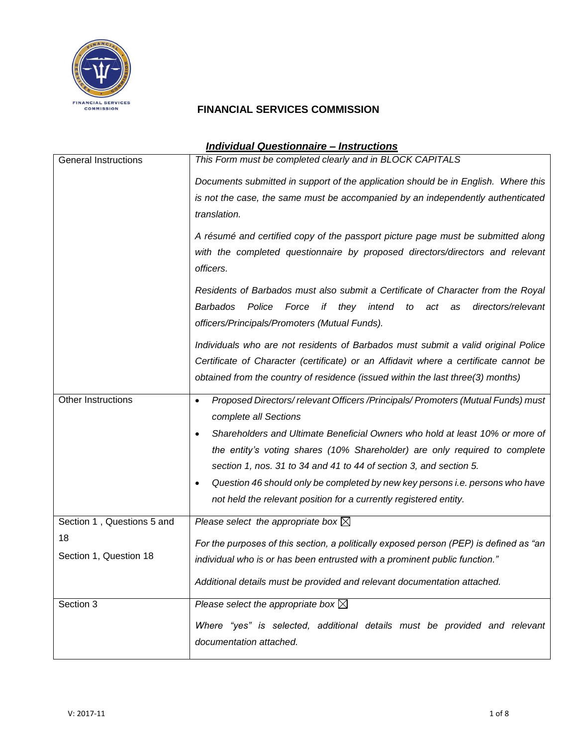

| <b>Individual Questionnaire - Instructions</b>             |                                                                                                                                                                                                                                                                                                                                                                                                                                                                                                                                                                                                                                                                               |  |  |
|------------------------------------------------------------|-------------------------------------------------------------------------------------------------------------------------------------------------------------------------------------------------------------------------------------------------------------------------------------------------------------------------------------------------------------------------------------------------------------------------------------------------------------------------------------------------------------------------------------------------------------------------------------------------------------------------------------------------------------------------------|--|--|
| <b>General Instructions</b>                                | This Form must be completed clearly and in BLOCK CAPITALS<br>Documents submitted in support of the application should be in English. Where this<br>is not the case, the same must be accompanied by an independently authenticated<br>translation.<br>A résumé and certified copy of the passport picture page must be submitted along<br>with the completed questionnaire by proposed directors/directors and relevant<br>officers.<br>Residents of Barbados must also submit a Certificate of Character from the Royal<br><b>Barbados</b><br>Police<br>Force<br>they intend<br>to<br>directors/relevant<br>if<br>act<br>as<br>officers/Principals/Promoters (Mutual Funds). |  |  |
|                                                            | Individuals who are not residents of Barbados must submit a valid original Police<br>Certificate of Character (certificate) or an Affidavit where a certificate cannot be<br>obtained from the country of residence (issued within the last three(3) months)                                                                                                                                                                                                                                                                                                                                                                                                                  |  |  |
| Other Instructions                                         | Proposed Directors/relevant Officers/Principals/Promoters (Mutual Funds) must<br>$\bullet$<br>complete all Sections<br>Shareholders and Ultimate Beneficial Owners who hold at least 10% or more of<br>$\bullet$<br>the entity's voting shares (10% Shareholder) are only required to complete<br>section 1, nos. 31 to 34 and 41 to 44 of section 3, and section 5.<br>Question 46 should only be completed by new key persons i.e. persons who have<br>$\bullet$<br>not held the relevant position for a currently registered entity.                                                                                                                                       |  |  |
| Section 1, Questions 5 and<br>18<br>Section 1, Question 18 | Please select the appropriate box $\boxtimes$<br>For the purposes of this section, a politically exposed person (PEP) is defined as "an<br>individual who is or has been entrusted with a prominent public function."<br>Additional details must be provided and relevant documentation attached.                                                                                                                                                                                                                                                                                                                                                                             |  |  |
| Section 3                                                  | Please select the appropriate box $\boxtimes$<br>Where "yes" is selected, additional details must be provided and relevant<br>documentation attached.                                                                                                                                                                                                                                                                                                                                                                                                                                                                                                                         |  |  |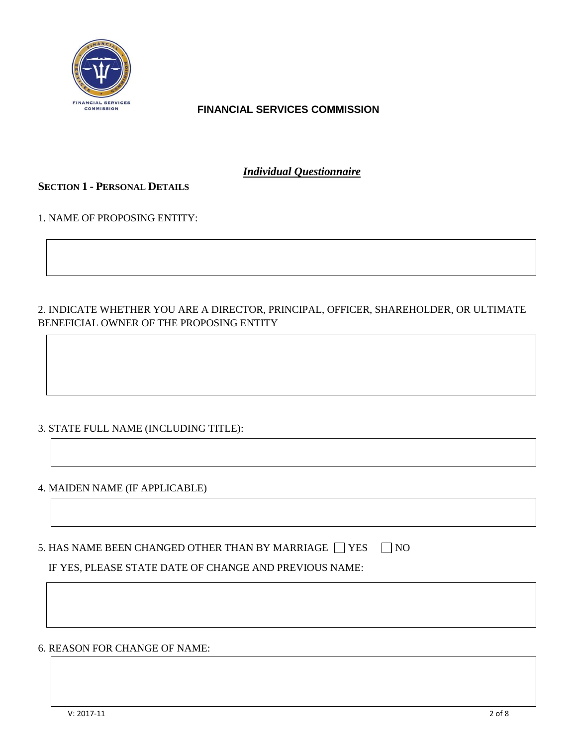

*Individual Questionnaire*

### **SECTION 1 - PERSONAL DETAILS**

1. NAME OF PROPOSING ENTITY:

## 2. INDICATE WHETHER YOU ARE A DIRECTOR, PRINCIPAL, OFFICER, SHAREHOLDER, OR ULTIMATE BENEFICIAL OWNER OF THE PROPOSING ENTITY

### 3. STATE FULL NAME (INCLUDING TITLE):

#### 4. MAIDEN NAME (IF APPLICABLE)

5. HAS NAME BEEN CHANGED OTHER THAN BY MARRIAGE  $\Box$  YES  $\Box$  NO

IF YES, PLEASE STATE DATE OF CHANGE AND PREVIOUS NAME:

#### 6. REASON FOR CHANGE OF NAME: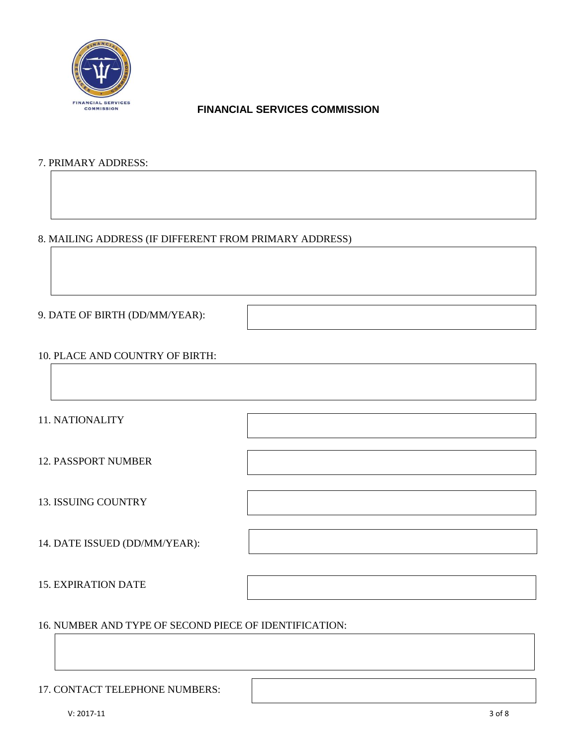

#### 7. PRIMARY ADDRESS:

#### 8. MAILING ADDRESS (IF DIFFERENT FROM PRIMARY ADDRESS)

9. DATE OF BIRTH (DD/MM/YEAR):

#### 10. PLACE AND COUNTRY OF BIRTH:

11. NATIONALITY

12. PASSPORT NUMBER

13. ISSUING COUNTRY

14. DATE ISSUED (DD/MM/YEAR):

15. EXPIRATION DATE

#### 16. NUMBER AND TYPE OF SECOND PIECE OF IDENTIFICATION:

#### 17. CONTACT TELEPHONE NUMBERS: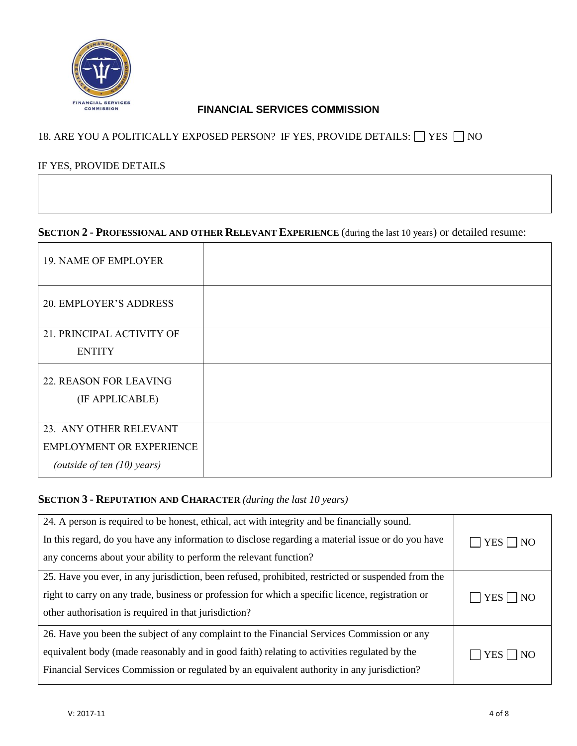

# 18. ARE YOU A POLITICALLY EXPOSED PERSON? IF YES, PROVIDE DETAILS:  $\Box$  YES  $\Box$  NO

#### IF YES, PROVIDE DETAILS

# **SECTION 2 - PROFESSIONAL AND OTHER RELEVANT EXPERIENCE** (during the last 10 years) or detailed resume:

| <b>19. NAME OF EMPLOYER</b>     |  |
|---------------------------------|--|
| <b>20. EMPLOYER'S ADDRESS</b>   |  |
| 21. PRINCIPAL ACTIVITY OF       |  |
| <b>ENTITY</b>                   |  |
| <b>22. REASON FOR LEAVING</b>   |  |
| (IF APPLICABLE)                 |  |
|                                 |  |
| 23. ANY OTHER RELEVANT          |  |
| <b>EMPLOYMENT OR EXPERIENCE</b> |  |
| (outside of ten $(10)$ years)   |  |

#### **SECTION 3 - REPUTATION AND CHARACTER** *(during the last 10 years)*

| 24. A person is required to be honest, ethical, act with integrity and be financially sound.<br>In this regard, do you have any information to disclose regarding a material issue or do you have<br>any concerns about your ability to perform the relevant function?                  | $\Box$ YES $\Box$ NO |
|-----------------------------------------------------------------------------------------------------------------------------------------------------------------------------------------------------------------------------------------------------------------------------------------|----------------------|
| 25. Have you ever, in any jurisdiction, been refused, prohibited, restricted or suspended from the<br>right to carry on any trade, business or profession for which a specific licence, registration or<br>other authorisation is required in that jurisdiction?                        | $YES \cap NO$        |
| 26. Have you been the subject of any complaint to the Financial Services Commission or any<br>equivalent body (made reasonably and in good faith) relating to activities regulated by the<br>Financial Services Commission or regulated by an equivalent authority in any jurisdiction? | $\Box$ YES $\Box$ NO |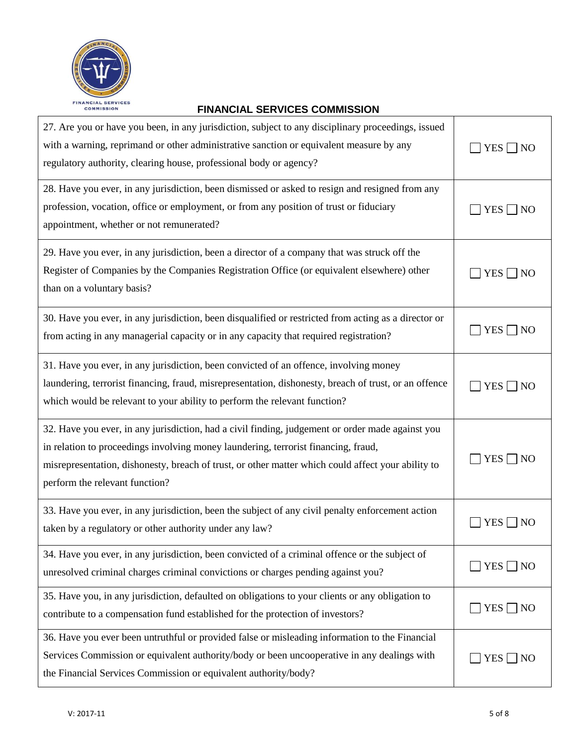

| 27. Are you or have you been, in any jurisdiction, subject to any disciplinary proceedings, issued<br>with a warning, reprimand or other administrative sanction or equivalent measure by any<br>regulatory authority, clearing house, professional body or agency?                                                            | $YES \Box NO$                |
|--------------------------------------------------------------------------------------------------------------------------------------------------------------------------------------------------------------------------------------------------------------------------------------------------------------------------------|------------------------------|
| 28. Have you ever, in any jurisdiction, been dismissed or asked to resign and resigned from any<br>profession, vocation, office or employment, or from any position of trust or fiduciary<br>appointment, whether or not remunerated?                                                                                          | $YES \Box NO$                |
| 29. Have you ever, in any jurisdiction, been a director of a company that was struck off the<br>Register of Companies by the Companies Registration Office (or equivalent elsewhere) other<br>than on a voluntary basis?                                                                                                       | $YES \Box NO$                |
| 30. Have you ever, in any jurisdiction, been disqualified or restricted from acting as a director or<br>from acting in any managerial capacity or in any capacity that required registration?                                                                                                                                  | YES <sup> </sup><br>- I NO   |
| 31. Have you ever, in any jurisdiction, been convicted of an offence, involving money<br>laundering, terrorist financing, fraud, misrepresentation, dishonesty, breach of trust, or an offence<br>which would be relevant to your ability to perform the relevant function?                                                    | <b>YES</b><br>$\overline{N}$ |
| 32. Have you ever, in any jurisdiction, had a civil finding, judgement or order made against you<br>in relation to proceedings involving money laundering, terrorist financing, fraud,<br>misrepresentation, dishonesty, breach of trust, or other matter which could affect your ability to<br>perform the relevant function? | YES <sup>[</sup><br> NO      |
| 33. Have you ever, in any jurisdiction, been the subject of any civil penalty enforcement action<br>taken by a regulatory or other authority under any law?                                                                                                                                                                    | YES                          |
| 34. Have you ever, in any jurisdiction, been convicted of a criminal offence or the subject of<br>unresolved criminal charges criminal convictions or charges pending against you?                                                                                                                                             | $YES \Box NO$                |
| 35. Have you, in any jurisdiction, defaulted on obligations to your clients or any obligation to<br>contribute to a compensation fund established for the protection of investors?                                                                                                                                             | <b>YES</b><br> NO            |
| 36. Have you ever been untruthful or provided false or misleading information to the Financial<br>Services Commission or equivalent authority/body or been uncooperative in any dealings with<br>the Financial Services Commission or equivalent authority/body?                                                               | $YES \tN0$                   |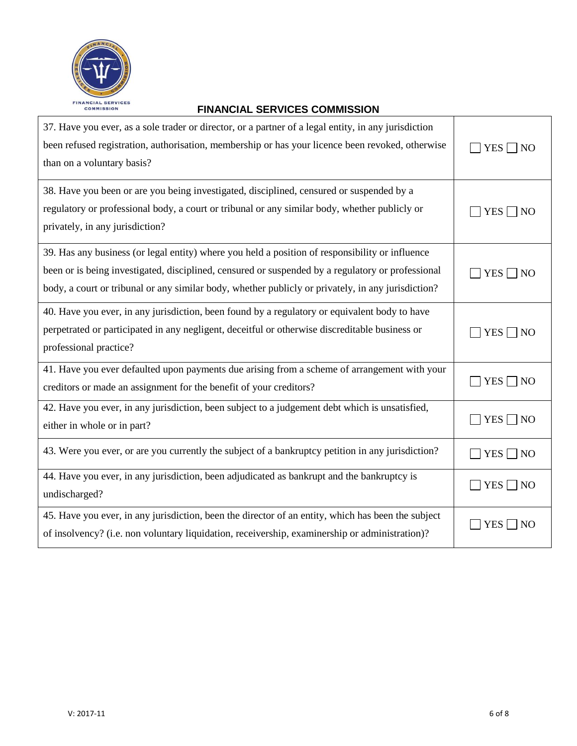

| 37. Have you ever, as a sole trader or director, or a partner of a legal entity, in any jurisdiction<br>been refused registration, authorisation, membership or has your licence been revoked, otherwise<br>than on a voluntary basis?                                                                     | $YES \Box NO$            |
|------------------------------------------------------------------------------------------------------------------------------------------------------------------------------------------------------------------------------------------------------------------------------------------------------------|--------------------------|
| 38. Have you been or are you being investigated, disciplined, censured or suspended by a<br>regulatory or professional body, a court or tribunal or any similar body, whether publicly or<br>privately, in any jurisdiction?                                                                               | $YES \nightharpoonup NO$ |
| 39. Has any business (or legal entity) where you held a position of responsibility or influence<br>been or is being investigated, disciplined, censured or suspended by a regulatory or professional<br>body, a court or tribunal or any similar body, whether publicly or privately, in any jurisdiction? | $YES \Box NO$            |
| 40. Have you ever, in any jurisdiction, been found by a regulatory or equivalent body to have<br>perpetrated or participated in any negligent, deceitful or otherwise discreditable business or<br>professional practice?                                                                                  | $YES \Box NO$            |
| 41. Have you ever defaulted upon payments due arising from a scheme of arrangement with your<br>creditors or made an assignment for the benefit of your creditors?                                                                                                                                         | $YES \Box NO$            |
| 42. Have you ever, in any jurisdiction, been subject to a judgement debt which is unsatisfied,<br>either in whole or in part?                                                                                                                                                                              | $YES \Box NO$            |
| 43. Were you ever, or are you currently the subject of a bankruptcy petition in any jurisdiction?                                                                                                                                                                                                          | $YES \Box NO$            |
| 44. Have you ever, in any jurisdiction, been adjudicated as bankrupt and the bankruptcy is<br>undischarged?                                                                                                                                                                                                | $YES \Box NO$            |
| 45. Have you ever, in any jurisdiction, been the director of an entity, which has been the subject<br>of insolvency? (i.e. non voluntary liquidation, receivership, examinership or administration)?                                                                                                       | YES  <br>NO              |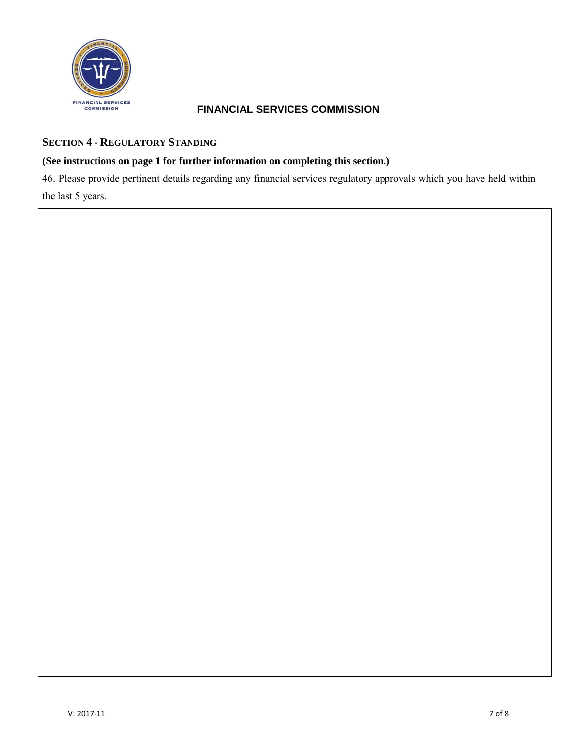

## **SECTION 4 - REGULATORY STANDING**

### **(See instructions on page 1 for further information on completing this section.)**

46. Please provide pertinent details regarding any financial services regulatory approvals which you have held within the last 5 years.